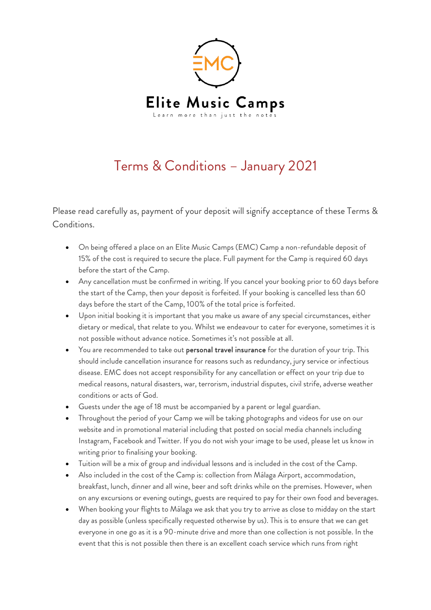

## Terms & Conditions – January 2021

Please read carefully as, payment of your deposit will signify acceptance of these Terms & Conditions.

- On being offered a place on an Elite Music Camps (EMC) Camp a non-refundable deposit of 15% of the cost is required to secure the place. Full payment for the Camp is required 60 days before the start of the Camp.
- Any cancellation must be confirmed in writing. If you cancel your booking prior to 60 days before the start of the Camp, then your deposit is forfeited. If your booking is cancelled less than 60 days before the start of the Camp, 100% of the total price is forfeited.
- Upon initial booking it is important that you make us aware of any special circumstances, either dietary or medical, that relate to you. Whilst we endeavour to cater for everyone, sometimes it is not possible without advance notice. Sometimes it's not possible at all.
- You are recommended to take out personal travel insurance for the duration of your trip. This should include cancellation insurance for reasons such as redundancy, jury service or infectious disease. EMC does not accept responsibility for any cancellation or effect on your trip due to medical reasons, natural disasters, war, terrorism, industrial disputes, civil strife, adverse weather conditions or acts of God.
- Guests under the age of 18 must be accompanied by a parent or legal guardian.
- Throughout the period of your Camp we will be taking photographs and videos for use on our website and in promotional material including that posted on social media channels including Instagram, Facebook and Twitter. If you do not wish your image to be used, please let us know in writing prior to finalising your booking.
- Tuition will be a mix of group and individual lessons and is included in the cost of the Camp.
- Also included in the cost of the Camp is: collection from Málaga Airport, accommodation, breakfast, lunch, dinner and all wine, beer and soft drinks while on the premises. However, when on any excursions or evening outings, guests are required to pay for their own food and beverages.
- When booking your flights to Málaga we ask that you try to arrive as close to midday on the start day as possible (unless specifically requested otherwise by us). This is to ensure that we can get everyone in one go as it is a 90-minute drive and more than one collection is not possible. In the event that this is not possible then there is an excellent coach service which runs from right